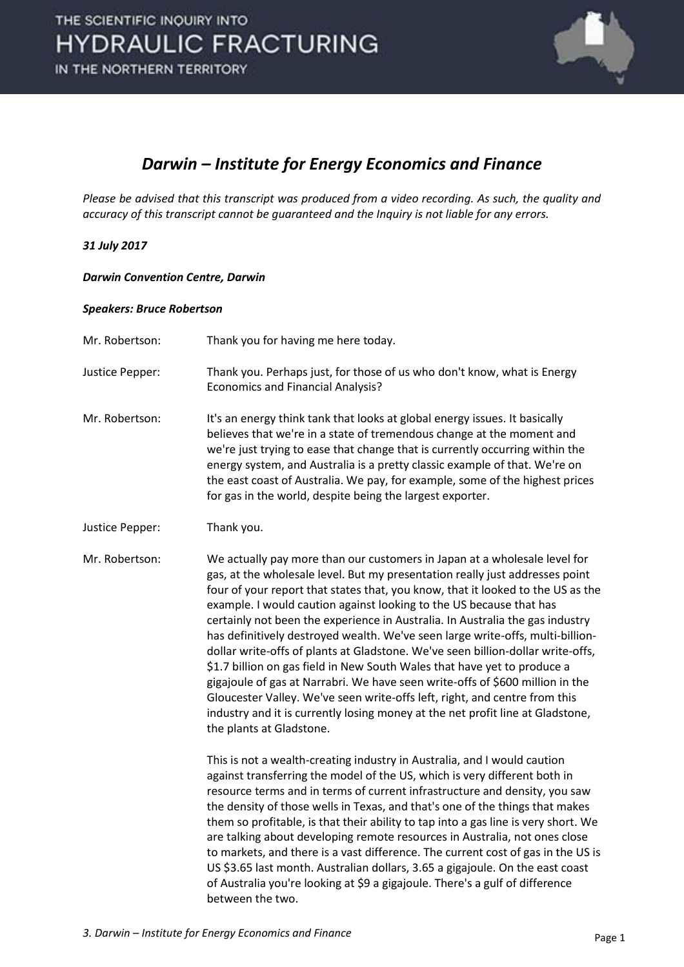

### *Darwin – Institute for Energy Economics and Finance*

*Please be advised that this transcript was produced from a video recording. As such, the quality and accuracy of this transcript cannot be guaranteed and the Inquiry is not liable for any errors.* 

#### *31 July 2017*

#### *Darwin Convention Centre, Darwin*

#### *Speakers: Bruce Robertson*

- Mr. Robertson: Thank you for having me here today.
- Justice Pepper: Thank you. Perhaps just, for those of us who don't know, what is Energy Economics and Financial Analysis?
- Mr. Robertson: It's an energy think tank that looks at global energy issues. It basically believes that we're in a state of tremendous change at the moment and we're just trying to ease that change that is currently occurring within the energy system, and Australia is a pretty classic example of that. We're on the east coast of Australia. We pay, for example, some of the highest prices for gas in the world, despite being the largest exporter.
- Justice Pepper: Thank you.

Mr. Robertson: We actually pay more than our customers in Japan at a wholesale level for gas, at the wholesale level. But my presentation really just addresses point four of your report that states that, you know, that it looked to the US as the example. I would caution against looking to the US because that has certainly not been the experience in Australia. In Australia the gas industry has definitively destroyed wealth. We've seen large write-offs, multi-billiondollar write-offs of plants at Gladstone. We've seen billion-dollar write-offs, \$1.7 billion on gas field in New South Wales that have yet to produce a gigajoule of gas at Narrabri. We have seen write-offs of \$600 million in the Gloucester Valley. We've seen write-offs left, right, and centre from this industry and it is currently losing money at the net profit line at Gladstone, the plants at Gladstone.

> This is not a wealth-creating industry in Australia, and I would caution against transferring the model of the US, which is very different both in resource terms and in terms of current infrastructure and density, you saw the density of those wells in Texas, and that's one of the things that makes them so profitable, is that their ability to tap into a gas line is very short. We are talking about developing remote resources in Australia, not ones close to markets, and there is a vast difference. The current cost of gas in the US is US \$3.65 last month. Australian dollars, 3.65 a gigajoule. On the east coast of Australia you're looking at \$9 a gigajoule. There's a gulf of difference between the two.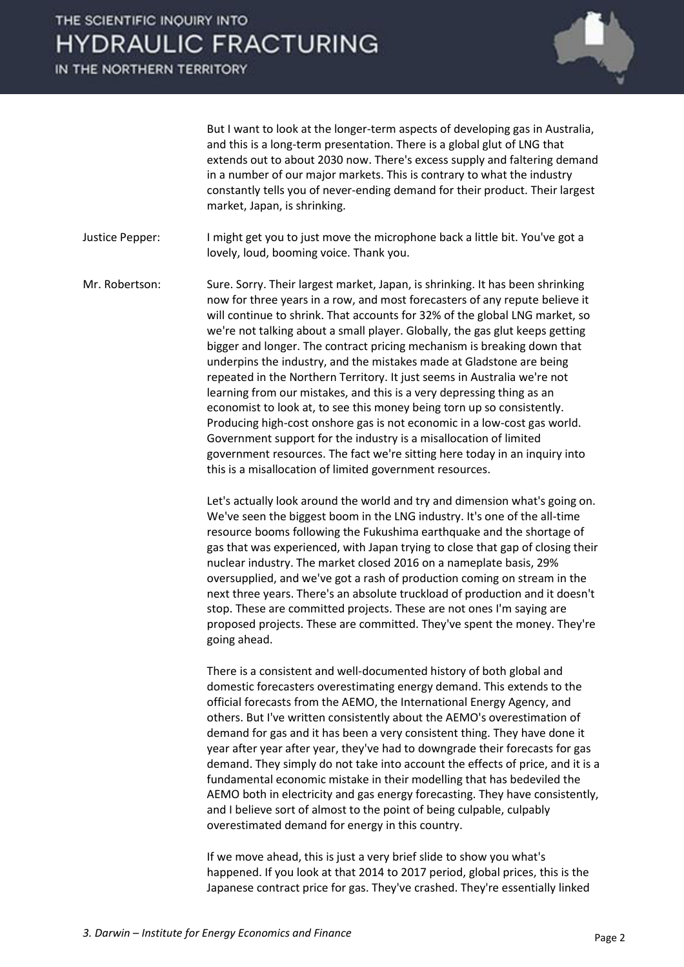# THE SCIENTIFIC INQUIRY INTO **HYDRAULIC FRACTURING**

IN THE NORTHERN TERRITORY



 But I want to look at the longer-term aspects of developing gas in Australia, and this is a long-term presentation. There is a global glut of LNG that extends out to about 2030 now. There's excess supply and faltering demand in a number of our major markets. This is contrary to what the industry constantly tells you of never-ending demand for their product. Their largest market, Japan, is shrinking.

Justice Pepper: I might get you to just move the microphone back a little bit. You've got a lovely, loud, booming voice. Thank you.

Mr. Robertson: Sure. Sorry. Their largest market, Japan, is shrinking. It has been shrinking now for three years in a row, and most forecasters of any repute believe it will continue to shrink. That accounts for 32% of the global LNG market, so we're not talking about a small player. Globally, the gas glut keeps getting bigger and longer. The contract pricing mechanism is breaking down that underpins the industry, and the mistakes made at Gladstone are being repeated in the Northern Territory. It just seems in Australia we're not learning from our mistakes, and this is a very depressing thing as an economist to look at, to see this money being torn up so consistently. Producing high-cost onshore gas is not economic in a low-cost gas world. Government support for the industry is a misallocation of limited government resources. The fact we're sitting here today in an inquiry into this is a misallocation of limited government resources.

> Let's actually look around the world and try and dimension what's going on. We've seen the biggest boom in the LNG industry. It's one of the all-time resource booms following the Fukushima earthquake and the shortage of gas that was experienced, with Japan trying to close that gap of closing their nuclear industry. The market closed 2016 on a nameplate basis, 29% oversupplied, and we've got a rash of production coming on stream in the next three years. There's an absolute truckload of production and it doesn't stop. These are committed projects. These are not ones I'm saying are proposed projects. These are committed. They've spent the money. They're going ahead.

> There is a consistent and well-documented history of both global and domestic forecasters overestimating energy demand. This extends to the official forecasts from the AEMO, the International Energy Agency, and others. But I've written consistently about the AEMO's overestimation of demand for gas and it has been a very consistent thing. They have done it year after year after year, they've had to downgrade their forecasts for gas demand. They simply do not take into account the effects of price, and it is a fundamental economic mistake in their modelling that has bedeviled the AEMO both in electricity and gas energy forecasting. They have consistently, and I believe sort of almost to the point of being culpable, culpably overestimated demand for energy in this country.

 If we move ahead, this is just a very brief slide to show you what's happened. If you look at that 2014 to 2017 period, global prices, this is the Japanese contract price for gas. They've crashed. They're essentially linked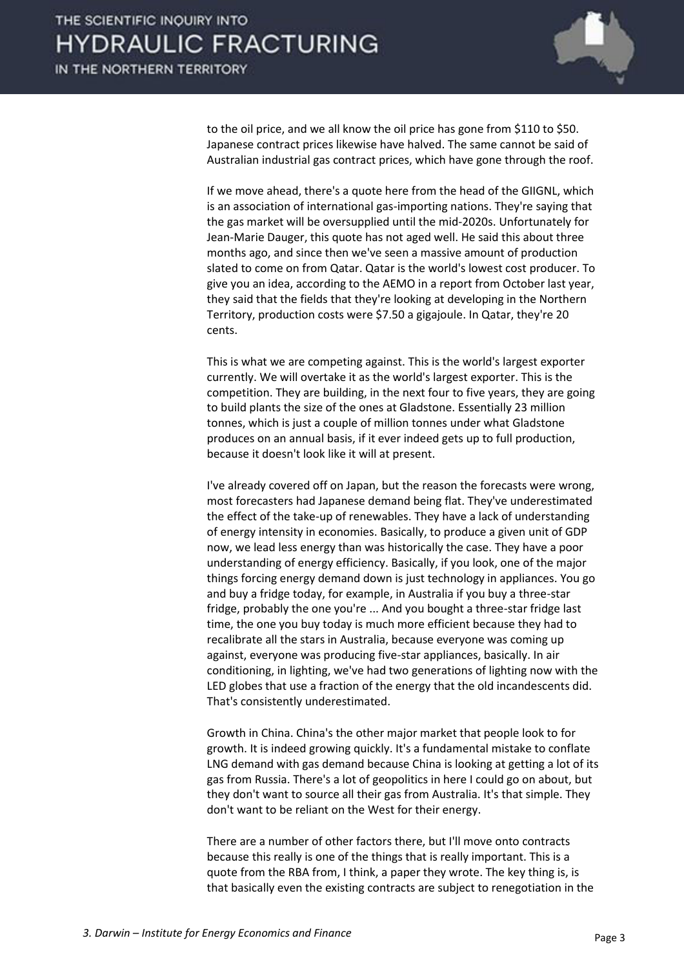

to the oil price, and we all know the oil price has gone from \$110 to \$50. Japanese contract prices likewise have halved. The same cannot be said of Australian industrial gas contract prices, which have gone through the roof.

 If we move ahead, there's a quote here from the head of the GIIGNL, which is an association of international gas-importing nations. They're saying that the gas market will be oversupplied until the mid-2020s. Unfortunately for Jean-Marie Dauger, this quote has not aged well. He said this about three months ago, and since then we've seen a massive amount of production slated to come on from Qatar. Qatar is the world's lowest cost producer. To give you an idea, according to the AEMO in a report from October last year, they said that the fields that they're looking at developing in the Northern Territory, production costs were \$7.50 a gigajoule. In Qatar, they're 20 cents.

 This is what we are competing against. This is the world's largest exporter currently. We will overtake it as the world's largest exporter. This is the competition. They are building, in the next four to five years, they are going to build plants the size of the ones at Gladstone. Essentially 23 million tonnes, which is just a couple of million tonnes under what Gladstone produces on an annual basis, if it ever indeed gets up to full production, because it doesn't look like it will at present.

 I've already covered off on Japan, but the reason the forecasts were wrong, most forecasters had Japanese demand being flat. They've underestimated the effect of the take-up of renewables. They have a lack of understanding of energy intensity in economies. Basically, to produce a given unit of GDP now, we lead less energy than was historically the case. They have a poor understanding of energy efficiency. Basically, if you look, one of the major things forcing energy demand down is just technology in appliances. You go and buy a fridge today, for example, in Australia if you buy a three-star fridge, probably the one you're ... And you bought a three-star fridge last time, the one you buy today is much more efficient because they had to recalibrate all the stars in Australia, because everyone was coming up against, everyone was producing five-star appliances, basically. In air conditioning, in lighting, we've had two generations of lighting now with the LED globes that use a fraction of the energy that the old incandescents did. That's consistently underestimated.

 Growth in China. China's the other major market that people look to for growth. It is indeed growing quickly. It's a fundamental mistake to conflate LNG demand with gas demand because China is looking at getting a lot of its gas from Russia. There's a lot of geopolitics in here I could go on about, but they don't want to source all their gas from Australia. It's that simple. They don't want to be reliant on the West for their energy.

 There are a number of other factors there, but I'll move onto contracts because this really is one of the things that is really important. This is a quote from the RBA from, I think, a paper they wrote. The key thing is, is that basically even the existing contracts are subject to renegotiation in the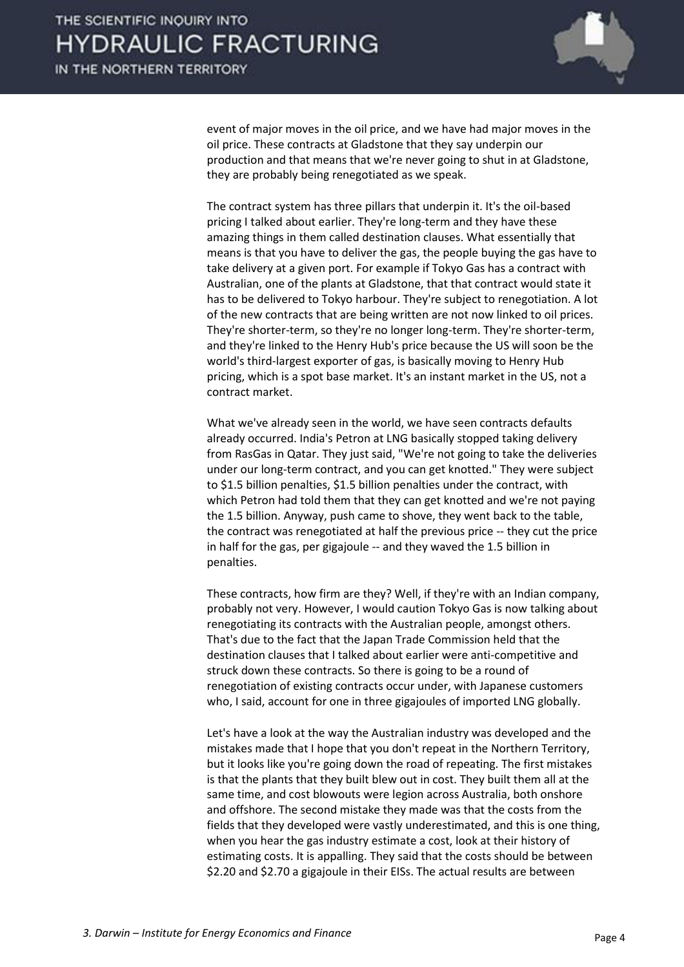

event of major moves in the oil price, and we have had major moves in the oil price. These contracts at Gladstone that they say underpin our production and that means that we're never going to shut in at Gladstone, they are probably being renegotiated as we speak.

 The contract system has three pillars that underpin it. It's the oil-based pricing I talked about earlier. They're long-term and they have these amazing things in them called destination clauses. What essentially that means is that you have to deliver the gas, the people buying the gas have to take delivery at a given port. For example if Tokyo Gas has a contract with Australian, one of the plants at Gladstone, that that contract would state it has to be delivered to Tokyo harbour. They're subject to renegotiation. A lot of the new contracts that are being written are not now linked to oil prices. They're shorter-term, so they're no longer long-term. They're shorter-term, and they're linked to the Henry Hub's price because the US will soon be the world's third-largest exporter of gas, is basically moving to Henry Hub pricing, which is a spot base market. It's an instant market in the US, not a contract market.

 What we've already seen in the world, we have seen contracts defaults already occurred. India's Petron at LNG basically stopped taking delivery from RasGas in Qatar. They just said, "We're not going to take the deliveries under our long-term contract, and you can get knotted." They were subject to \$1.5 billion penalties, \$1.5 billion penalties under the contract, with which Petron had told them that they can get knotted and we're not paying the 1.5 billion. Anyway, push came to shove, they went back to the table, the contract was renegotiated at half the previous price -- they cut the price in half for the gas, per gigajoule -- and they waved the 1.5 billion in penalties.

 These contracts, how firm are they? Well, if they're with an Indian company, probably not very. However, I would caution Tokyo Gas is now talking about renegotiating its contracts with the Australian people, amongst others. That's due to the fact that the Japan Trade Commission held that the destination clauses that I talked about earlier were anti-competitive and struck down these contracts. So there is going to be a round of renegotiation of existing contracts occur under, with Japanese customers who, I said, account for one in three gigajoules of imported LNG globally.

 Let's have a look at the way the Australian industry was developed and the mistakes made that I hope that you don't repeat in the Northern Territory, but it looks like you're going down the road of repeating. The first mistakes is that the plants that they built blew out in cost. They built them all at the same time, and cost blowouts were legion across Australia, both onshore and offshore. The second mistake they made was that the costs from the fields that they developed were vastly underestimated, and this is one thing, when you hear the gas industry estimate a cost, look at their history of estimating costs. It is appalling. They said that the costs should be between \$2.20 and \$2.70 a gigajoule in their EISs. The actual results are between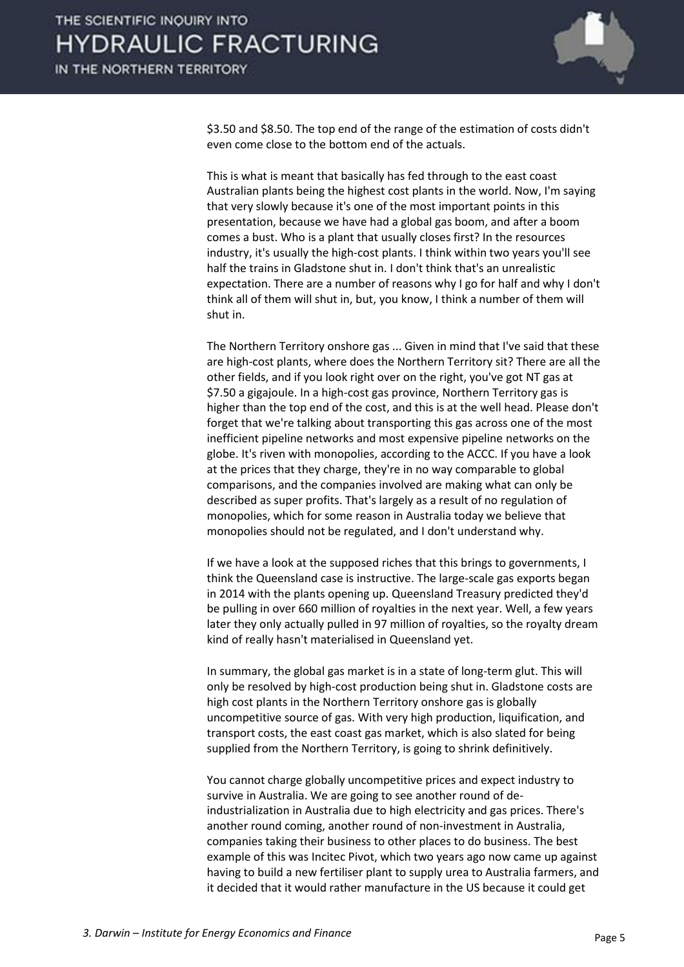

\$3.50 and \$8.50. The top end of the range of the estimation of costs didn't even come close to the bottom end of the actuals.

 This is what is meant that basically has fed through to the east coast Australian plants being the highest cost plants in the world. Now, I'm saying that very slowly because it's one of the most important points in this presentation, because we have had a global gas boom, and after a boom comes a bust. Who is a plant that usually closes first? In the resources industry, it's usually the high-cost plants. I think within two years you'll see half the trains in Gladstone shut in. I don't think that's an unrealistic expectation. There are a number of reasons why I go for half and why I don't think all of them will shut in, but, you know, I think a number of them will shut in.

 The Northern Territory onshore gas ... Given in mind that I've said that these are high-cost plants, where does the Northern Territory sit? There are all the other fields, and if you look right over on the right, you've got NT gas at \$7.50 a gigajoule. In a high-cost gas province, Northern Territory gas is higher than the top end of the cost, and this is at the well head. Please don't forget that we're talking about transporting this gas across one of the most inefficient pipeline networks and most expensive pipeline networks on the globe. It's riven with monopolies, according to the ACCC. If you have a look at the prices that they charge, they're in no way comparable to global comparisons, and the companies involved are making what can only be described as super profits. That's largely as a result of no regulation of monopolies, which for some reason in Australia today we believe that monopolies should not be regulated, and I don't understand why.

 If we have a look at the supposed riches that this brings to governments, I think the Queensland case is instructive. The large-scale gas exports began in 2014 with the plants opening up. Queensland Treasury predicted they'd be pulling in over 660 million of royalties in the next year. Well, a few years later they only actually pulled in 97 million of royalties, so the royalty dream kind of really hasn't materialised in Queensland yet.

 In summary, the global gas market is in a state of long-term glut. This will only be resolved by high-cost production being shut in. Gladstone costs are high cost plants in the Northern Territory onshore gas is globally uncompetitive source of gas. With very high production, liquification, and transport costs, the east coast gas market, which is also slated for being supplied from the Northern Territory, is going to shrink definitively.

 You cannot charge globally uncompetitive prices and expect industry to survive in Australia. We are going to see another round of deindustrialization in Australia due to high electricity and gas prices. There's another round coming, another round of non-investment in Australia, companies taking their business to other places to do business. The best example of this was Incitec Pivot, which two years ago now came up against having to build a new fertiliser plant to supply urea to Australia farmers, and it decided that it would rather manufacture in the US because it could get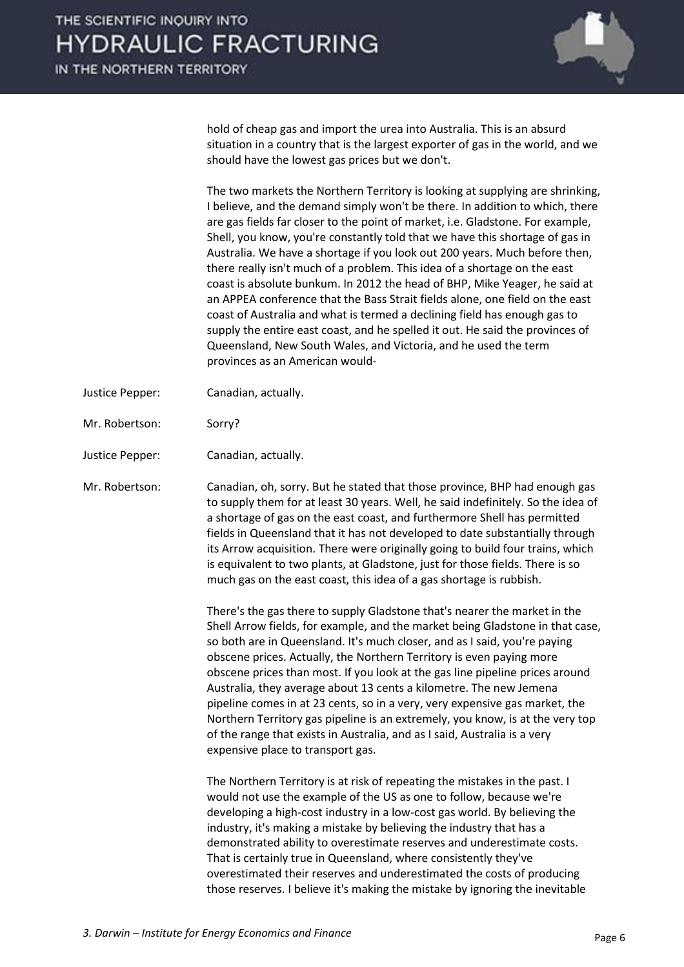

hold of cheap gas and import the urea into Australia. This is an absurd situation in a country that is the largest exporter of gas in the world, and we should have the lowest gas prices but we don't.

 The two markets the Northern Territory is looking at supplying are shrinking, I believe, and the demand simply won't be there. In addition to which, there are gas fields far closer to the point of market, i.e. Gladstone. For example, Shell, you know, you're constantly told that we have this shortage of gas in Australia. We have a shortage if you look out 200 years. Much before then, there really isn't much of a problem. This idea of a shortage on the east coast is absolute bunkum. In 2012 the head of BHP, Mike Yeager, he said at an APPEA conference that the Bass Strait fields alone, one field on the east coast of Australia and what is termed a declining field has enough gas to supply the entire east coast, and he spelled it out. He said the provinces of Queensland, New South Wales, and Victoria, and he used the term provinces as an American would-

- Justice Pepper: Canadian, actually.
- Mr. Robertson: Sorry?
- Justice Pepper: Canadian, actually.

Mr. Robertson: Canadian, oh, sorry. But he stated that those province, BHP had enough gas to supply them for at least 30 years. Well, he said indefinitely. So the idea of a shortage of gas on the east coast, and furthermore Shell has permitted fields in Queensland that it has not developed to date substantially through its Arrow acquisition. There were originally going to build four trains, which is equivalent to two plants, at Gladstone, just for those fields. There is so much gas on the east coast, this idea of a gas shortage is rubbish.

> There's the gas there to supply Gladstone that's nearer the market in the Shell Arrow fields, for example, and the market being Gladstone in that case, so both are in Queensland. It's much closer, and as I said, you're paying obscene prices. Actually, the Northern Territory is even paying more obscene prices than most. If you look at the gas line pipeline prices around Australia, they average about 13 cents a kilometre. The new Jemena pipeline comes in at 23 cents, so in a very, very expensive gas market, the Northern Territory gas pipeline is an extremely, you know, is at the very top of the range that exists in Australia, and as I said, Australia is a very expensive place to transport gas.

 The Northern Territory is at risk of repeating the mistakes in the past. I would not use the example of the US as one to follow, because we're developing a high-cost industry in a low-cost gas world. By believing the industry, it's making a mistake by believing the industry that has a demonstrated ability to overestimate reserves and underestimate costs. That is certainly true in Queensland, where consistently they've overestimated their reserves and underestimated the costs of producing those reserves. I believe it's making the mistake by ignoring the inevitable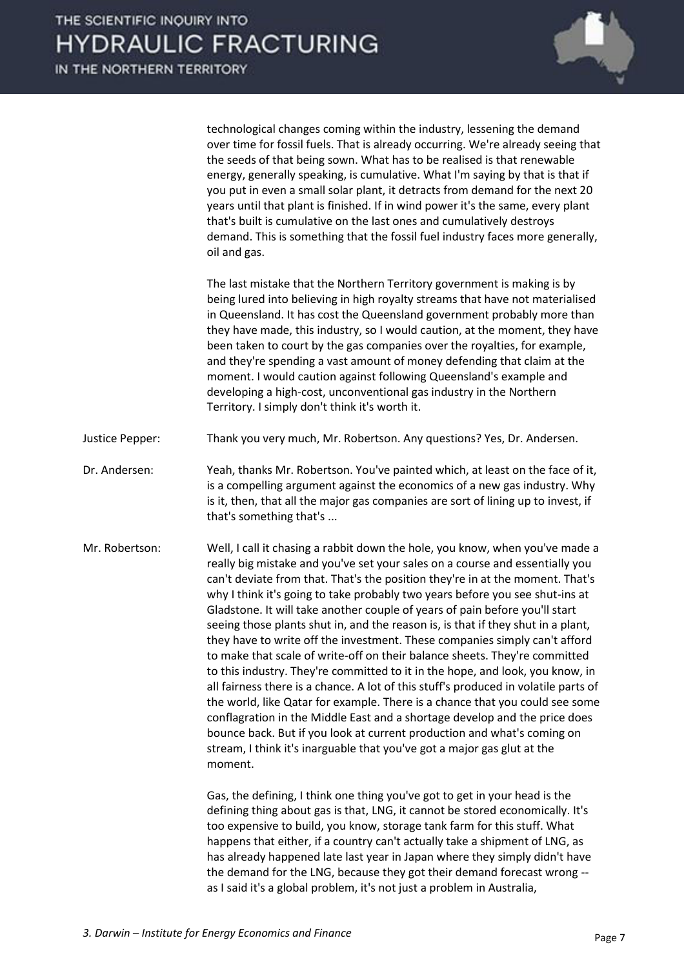

technological changes coming within the industry, lessening the demand over time for fossil fuels. That is already occurring. We're already seeing that the seeds of that being sown. What has to be realised is that renewable energy, generally speaking, is cumulative. What I'm saying by that is that if you put in even a small solar plant, it detracts from demand for the next 20 years until that plant is finished. If in wind power it's the same, every plant that's built is cumulative on the last ones and cumulatively destroys demand. This is something that the fossil fuel industry faces more generally, oil and gas.

 The last mistake that the Northern Territory government is making is by being lured into believing in high royalty streams that have not materialised in Queensland. It has cost the Queensland government probably more than they have made, this industry, so I would caution, at the moment, they have been taken to court by the gas companies over the royalties, for example, and they're spending a vast amount of money defending that claim at the moment. I would caution against following Queensland's example and developing a high-cost, unconventional gas industry in the Northern Territory. I simply don't think it's worth it.

- Justice Pepper: Thank you very much, Mr. Robertson. Any questions? Yes, Dr. Andersen.
- Dr. Andersen: Yeah, thanks Mr. Robertson. You've painted which, at least on the face of it, is a compelling argument against the economics of a new gas industry. Why is it, then, that all the major gas companies are sort of lining up to invest, if that's something that's ...
- Mr. Robertson: Well, I call it chasing a rabbit down the hole, you know, when you've made a really big mistake and you've set your sales on a course and essentially you can't deviate from that. That's the position they're in at the moment. That's why I think it's going to take probably two years before you see shut-ins at Gladstone. It will take another couple of years of pain before you'll start seeing those plants shut in, and the reason is, is that if they shut in a plant, they have to write off the investment. These companies simply can't afford to make that scale of write-off on their balance sheets. They're committed to this industry. They're committed to it in the hope, and look, you know, in all fairness there is a chance. A lot of this stuff's produced in volatile parts of the world, like Qatar for example. There is a chance that you could see some conflagration in the Middle East and a shortage develop and the price does bounce back. But if you look at current production and what's coming on stream, I think it's inarguable that you've got a major gas glut at the moment.

 Gas, the defining, I think one thing you've got to get in your head is the defining thing about gas is that, LNG, it cannot be stored economically. It's too expensive to build, you know, storage tank farm for this stuff. What happens that either, if a country can't actually take a shipment of LNG, as has already happened late last year in Japan where they simply didn't have the demand for the LNG, because they got their demand forecast wrong - as I said it's a global problem, it's not just a problem in Australia,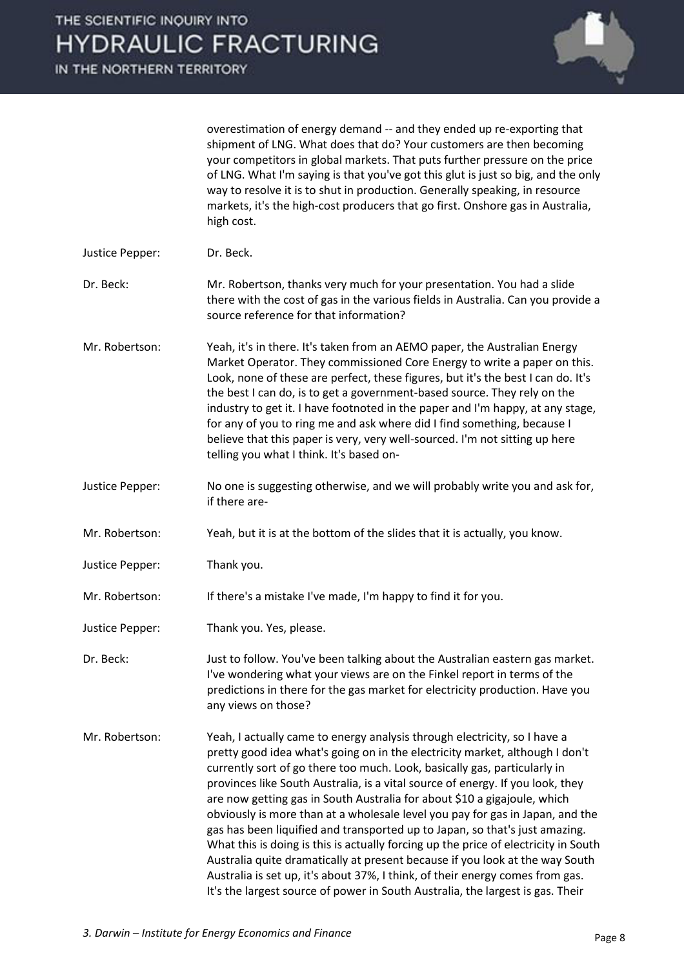

overestimation of energy demand -- and they ended up re-exporting that shipment of LNG. What does that do? Your customers are then becoming your competitors in global markets. That puts further pressure on the price of LNG. What I'm saying is that you've got this glut is just so big, and the only way to resolve it is to shut in production. Generally speaking, in resource markets, it's the high-cost producers that go first. Onshore gas in Australia, high cost.

Justice Pepper: Dr. Beck.

Dr. Beck: Mr. Robertson, thanks very much for your presentation. You had a slide there with the cost of gas in the various fields in Australia. Can you provide a source reference for that information?

- Mr. Robertson: Yeah, it's in there. It's taken from an AEMO paper, the Australian Energy Market Operator. They commissioned Core Energy to write a paper on this. Look, none of these are perfect, these figures, but it's the best I can do. It's the best I can do, is to get a government-based source. They rely on the industry to get it. I have footnoted in the paper and I'm happy, at any stage, for any of you to ring me and ask where did I find something, because I believe that this paper is very, very well-sourced. I'm not sitting up here telling you what I think. It's based on-
- Justice Pepper: No one is suggesting otherwise, and we will probably write you and ask for, if there are-
- Mr. Robertson: Yeah, but it is at the bottom of the slides that it is actually, you know.
- Justice Pepper: Thank you.

Mr. Robertson: If there's a mistake I've made, I'm happy to find it for you.

Justice Pepper: Thank you. Yes, please.

Dr. Beck: Just to follow. You've been talking about the Australian eastern gas market. I've wondering what your views are on the Finkel report in terms of the predictions in there for the gas market for electricity production. Have you any views on those?

Mr. Robertson: Yeah, I actually came to energy analysis through electricity, so I have a pretty good idea what's going on in the electricity market, although I don't currently sort of go there too much. Look, basically gas, particularly in provinces like South Australia, is a vital source of energy. If you look, they are now getting gas in South Australia for about \$10 a gigajoule, which obviously is more than at a wholesale level you pay for gas in Japan, and the gas has been liquified and transported up to Japan, so that's just amazing. What this is doing is this is actually forcing up the price of electricity in South Australia quite dramatically at present because if you look at the way South Australia is set up, it's about 37%, I think, of their energy comes from gas. It's the largest source of power in South Australia, the largest is gas. Their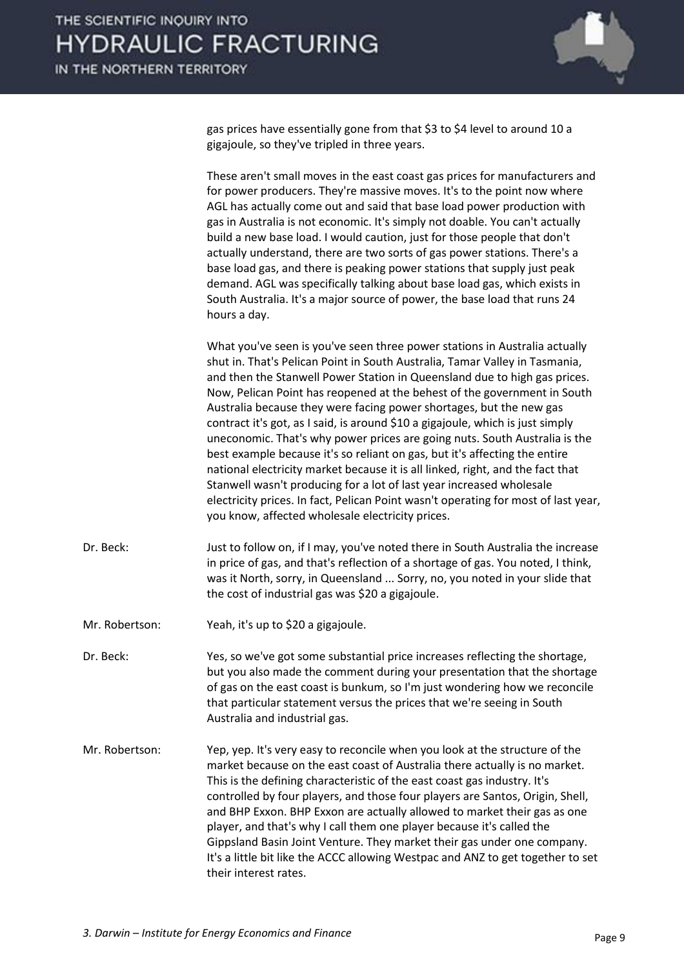

gas prices have essentially gone from that \$3 to \$4 level to around 10 a gigajoule, so they've tripled in three years.

 These aren't small moves in the east coast gas prices for manufacturers and for power producers. They're massive moves. It's to the point now where AGL has actually come out and said that base load power production with gas in Australia is not economic. It's simply not doable. You can't actually build a new base load. I would caution, just for those people that don't actually understand, there are two sorts of gas power stations. There's a base load gas, and there is peaking power stations that supply just peak demand. AGL was specifically talking about base load gas, which exists in South Australia. It's a major source of power, the base load that runs 24 hours a day.

 What you've seen is you've seen three power stations in Australia actually shut in. That's Pelican Point in South Australia, Tamar Valley in Tasmania, and then the Stanwell Power Station in Queensland due to high gas prices. Now, Pelican Point has reopened at the behest of the government in South Australia because they were facing power shortages, but the new gas contract it's got, as I said, is around \$10 a gigajoule, which is just simply uneconomic. That's why power prices are going nuts. South Australia is the best example because it's so reliant on gas, but it's affecting the entire national electricity market because it is all linked, right, and the fact that Stanwell wasn't producing for a lot of last year increased wholesale electricity prices. In fact, Pelican Point wasn't operating for most of last year, you know, affected wholesale electricity prices.

- Dr. Beck: Just to follow on, if I may, you've noted there in South Australia the increase in price of gas, and that's reflection of a shortage of gas. You noted, I think, was it North, sorry, in Queensland ... Sorry, no, you noted in your slide that the cost of industrial gas was \$20 a gigajoule.
- Mr. Robertson: Yeah, it's up to \$20 a gigajoule.
- Dr. Beck: Yes, so we've got some substantial price increases reflecting the shortage, but you also made the comment during your presentation that the shortage of gas on the east coast is bunkum, so I'm just wondering how we reconcile that particular statement versus the prices that we're seeing in South Australia and industrial gas.
- Mr. Robertson: Yep, yep. It's very easy to reconcile when you look at the structure of the market because on the east coast of Australia there actually is no market. This is the defining characteristic of the east coast gas industry. It's controlled by four players, and those four players are Santos, Origin, Shell, and BHP Exxon. BHP Exxon are actually allowed to market their gas as one player, and that's why I call them one player because it's called the Gippsland Basin Joint Venture. They market their gas under one company. It's a little bit like the ACCC allowing Westpac and ANZ to get together to set their interest rates.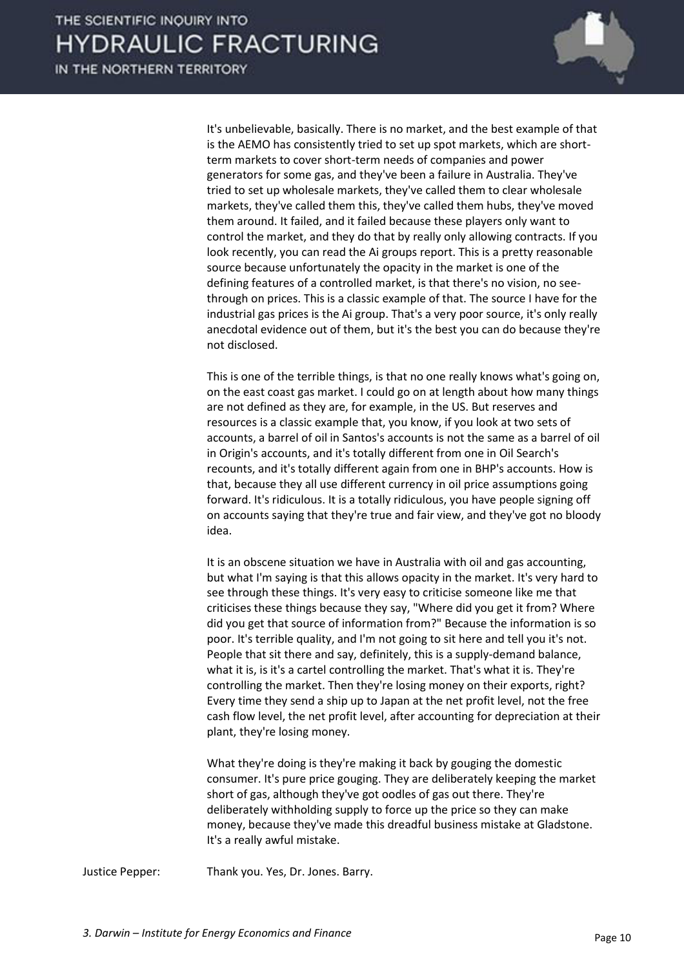

 It's unbelievable, basically. There is no market, and the best example of that is the AEMO has consistently tried to set up spot markets, which are shortterm markets to cover short-term needs of companies and power generators for some gas, and they've been a failure in Australia. They've tried to set up wholesale markets, they've called them to clear wholesale markets, they've called them this, they've called them hubs, they've moved them around. It failed, and it failed because these players only want to control the market, and they do that by really only allowing contracts. If you look recently, you can read the Ai groups report. This is a pretty reasonable source because unfortunately the opacity in the market is one of the defining features of a controlled market, is that there's no vision, no seethrough on prices. This is a classic example of that. The source I have for the industrial gas prices is the Ai group. That's a very poor source, it's only really anecdotal evidence out of them, but it's the best you can do because they're not disclosed.

 This is one of the terrible things, is that no one really knows what's going on, on the east coast gas market. I could go on at length about how many things are not defined as they are, for example, in the US. But reserves and resources is a classic example that, you know, if you look at two sets of accounts, a barrel of oil in Santos's accounts is not the same as a barrel of oil in Origin's accounts, and it's totally different from one in Oil Search's recounts, and it's totally different again from one in BHP's accounts. How is that, because they all use different currency in oil price assumptions going forward. It's ridiculous. It is a totally ridiculous, you have people signing off on accounts saying that they're true and fair view, and they've got no bloody idea.

 It is an obscene situation we have in Australia with oil and gas accounting, but what I'm saying is that this allows opacity in the market. It's very hard to see through these things. It's very easy to criticise someone like me that criticises these things because they say, "Where did you get it from? Where did you get that source of information from?" Because the information is so poor. It's terrible quality, and I'm not going to sit here and tell you it's not. People that sit there and say, definitely, this is a supply-demand balance, what it is, is it's a cartel controlling the market. That's what it is. They're controlling the market. Then they're losing money on their exports, right? Every time they send a ship up to Japan at the net profit level, not the free cash flow level, the net profit level, after accounting for depreciation at their plant, they're losing money.

 What they're doing is they're making it back by gouging the domestic consumer. It's pure price gouging. They are deliberately keeping the market short of gas, although they've got oodles of gas out there. They're deliberately withholding supply to force up the price so they can make money, because they've made this dreadful business mistake at Gladstone. It's a really awful mistake.

Justice Pepper: Thank you. Yes, Dr. Jones. Barry.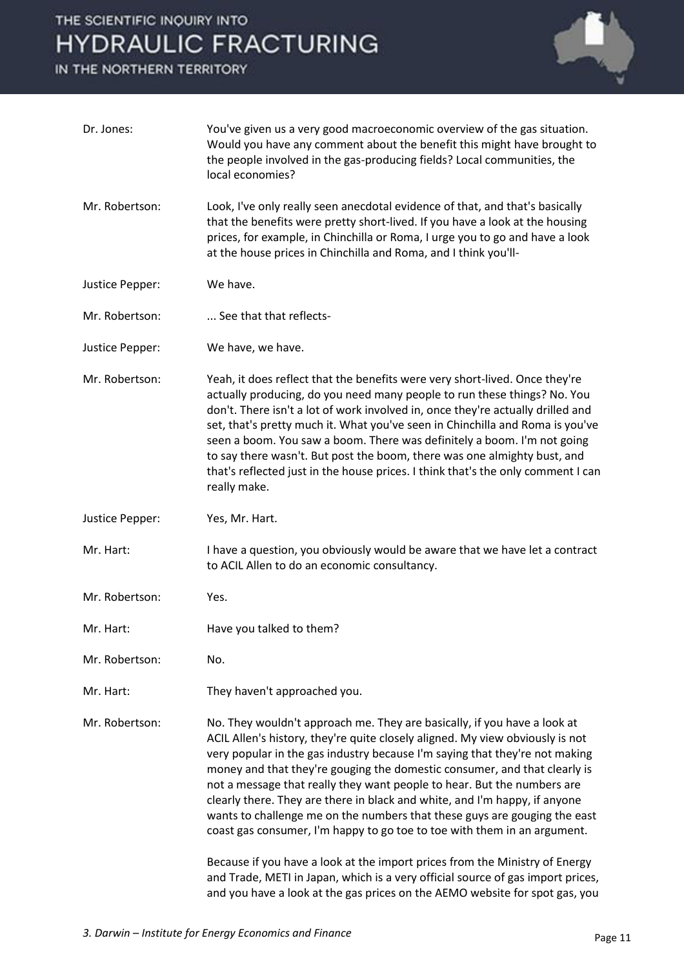## THE SCIENTIFIC INQUIRY INTO **HYDRAULIC FRACTURING**

IN THE NORTHERN TERRITORY



| Dr. Jones:      | You've given us a very good macroeconomic overview of the gas situation.<br>Would you have any comment about the benefit this might have brought to<br>the people involved in the gas-producing fields? Local communities, the<br>local economies?                                                                                                                                                                                                                                                                                                                                                                                                                                                                                                                                                                                                                                       |
|-----------------|------------------------------------------------------------------------------------------------------------------------------------------------------------------------------------------------------------------------------------------------------------------------------------------------------------------------------------------------------------------------------------------------------------------------------------------------------------------------------------------------------------------------------------------------------------------------------------------------------------------------------------------------------------------------------------------------------------------------------------------------------------------------------------------------------------------------------------------------------------------------------------------|
| Mr. Robertson:  | Look, I've only really seen anecdotal evidence of that, and that's basically<br>that the benefits were pretty short-lived. If you have a look at the housing<br>prices, for example, in Chinchilla or Roma, I urge you to go and have a look<br>at the house prices in Chinchilla and Roma, and I think you'll-                                                                                                                                                                                                                                                                                                                                                                                                                                                                                                                                                                          |
| Justice Pepper: | We have.                                                                                                                                                                                                                                                                                                                                                                                                                                                                                                                                                                                                                                                                                                                                                                                                                                                                                 |
| Mr. Robertson:  | See that that reflects-                                                                                                                                                                                                                                                                                                                                                                                                                                                                                                                                                                                                                                                                                                                                                                                                                                                                  |
| Justice Pepper: | We have, we have.                                                                                                                                                                                                                                                                                                                                                                                                                                                                                                                                                                                                                                                                                                                                                                                                                                                                        |
| Mr. Robertson:  | Yeah, it does reflect that the benefits were very short-lived. Once they're<br>actually producing, do you need many people to run these things? No. You<br>don't. There isn't a lot of work involved in, once they're actually drilled and<br>set, that's pretty much it. What you've seen in Chinchilla and Roma is you've<br>seen a boom. You saw a boom. There was definitely a boom. I'm not going<br>to say there wasn't. But post the boom, there was one almighty bust, and<br>that's reflected just in the house prices. I think that's the only comment I can<br>really make.                                                                                                                                                                                                                                                                                                   |
| Justice Pepper: | Yes, Mr. Hart.                                                                                                                                                                                                                                                                                                                                                                                                                                                                                                                                                                                                                                                                                                                                                                                                                                                                           |
| Mr. Hart:       | I have a question, you obviously would be aware that we have let a contract<br>to ACIL Allen to do an economic consultancy.                                                                                                                                                                                                                                                                                                                                                                                                                                                                                                                                                                                                                                                                                                                                                              |
| Mr. Robertson:  | Yes.                                                                                                                                                                                                                                                                                                                                                                                                                                                                                                                                                                                                                                                                                                                                                                                                                                                                                     |
| Mr. Hart:       | Have you talked to them?                                                                                                                                                                                                                                                                                                                                                                                                                                                                                                                                                                                                                                                                                                                                                                                                                                                                 |
| Mr. Robertson:  | No.                                                                                                                                                                                                                                                                                                                                                                                                                                                                                                                                                                                                                                                                                                                                                                                                                                                                                      |
| Mr. Hart:       | They haven't approached you.                                                                                                                                                                                                                                                                                                                                                                                                                                                                                                                                                                                                                                                                                                                                                                                                                                                             |
| Mr. Robertson:  | No. They wouldn't approach me. They are basically, if you have a look at<br>ACIL Allen's history, they're quite closely aligned. My view obviously is not<br>very popular in the gas industry because I'm saying that they're not making<br>money and that they're gouging the domestic consumer, and that clearly is<br>not a message that really they want people to hear. But the numbers are<br>clearly there. They are there in black and white, and I'm happy, if anyone<br>wants to challenge me on the numbers that these guys are gouging the east<br>coast gas consumer, I'm happy to go toe to toe with them in an argument.<br>Because if you have a look at the import prices from the Ministry of Energy<br>and Trade, METI in Japan, which is a very official source of gas import prices,<br>and you have a look at the gas prices on the AEMO website for spot gas, you |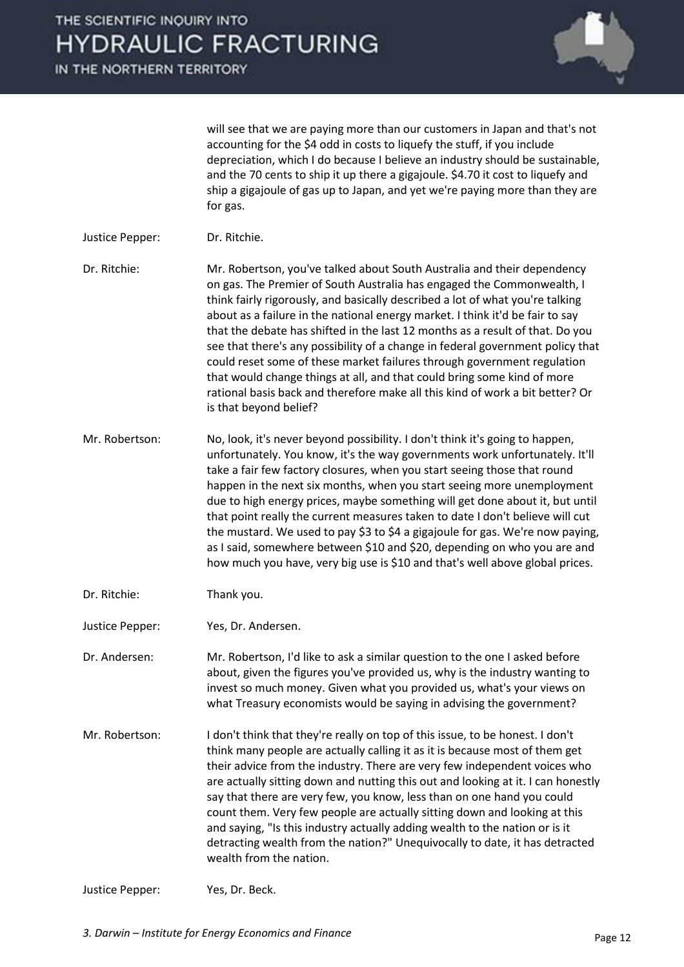

will see that we are paying more than our customers in Japan and that's not accounting for the \$4 odd in costs to liquefy the stuff, if you include depreciation, which I do because I believe an industry should be sustainable, and the 70 cents to ship it up there a gigajoule. \$4.70 it cost to liquefy and ship a gigajoule of gas up to Japan, and yet we're paying more than they are for gas.

- Justice Pepper: Dr. Ritchie.
- Dr. Ritchie: Mr. Robertson, you've talked about South Australia and their dependency on gas. The Premier of South Australia has engaged the Commonwealth, I think fairly rigorously, and basically described a lot of what you're talking about as a failure in the national energy market. I think it'd be fair to say that the debate has shifted in the last 12 months as a result of that. Do you see that there's any possibility of a change in federal government policy that could reset some of these market failures through government regulation that would change things at all, and that could bring some kind of more rational basis back and therefore make all this kind of work a bit better? Or is that beyond belief?
- Mr. Robertson: No, look, it's never beyond possibility. I don't think it's going to happen, unfortunately. You know, it's the way governments work unfortunately. It'll take a fair few factory closures, when you start seeing those that round happen in the next six months, when you start seeing more unemployment due to high energy prices, maybe something will get done about it, but until that point really the current measures taken to date I don't believe will cut the mustard. We used to pay \$3 to \$4 a gigajoule for gas. We're now paying, as I said, somewhere between \$10 and \$20, depending on who you are and how much you have, very big use is \$10 and that's well above global prices.
- Dr. Ritchie: Thank you.
- Justice Pepper: Yes, Dr. Andersen.

Dr. Andersen: Mr. Robertson, I'd like to ask a similar question to the one I asked before about, given the figures you've provided us, why is the industry wanting to invest so much money. Given what you provided us, what's your views on what Treasury economists would be saying in advising the government?

Mr. Robertson: I don't think that they're really on top of this issue, to be honest. I don't think many people are actually calling it as it is because most of them get their advice from the industry. There are very few independent voices who are actually sitting down and nutting this out and looking at it. I can honestly say that there are very few, you know, less than on one hand you could count them. Very few people are actually sitting down and looking at this and saying, "Is this industry actually adding wealth to the nation or is it detracting wealth from the nation?" Unequivocally to date, it has detracted wealth from the nation.

```
Justice Pepper: Yes, Dr. Beck.
```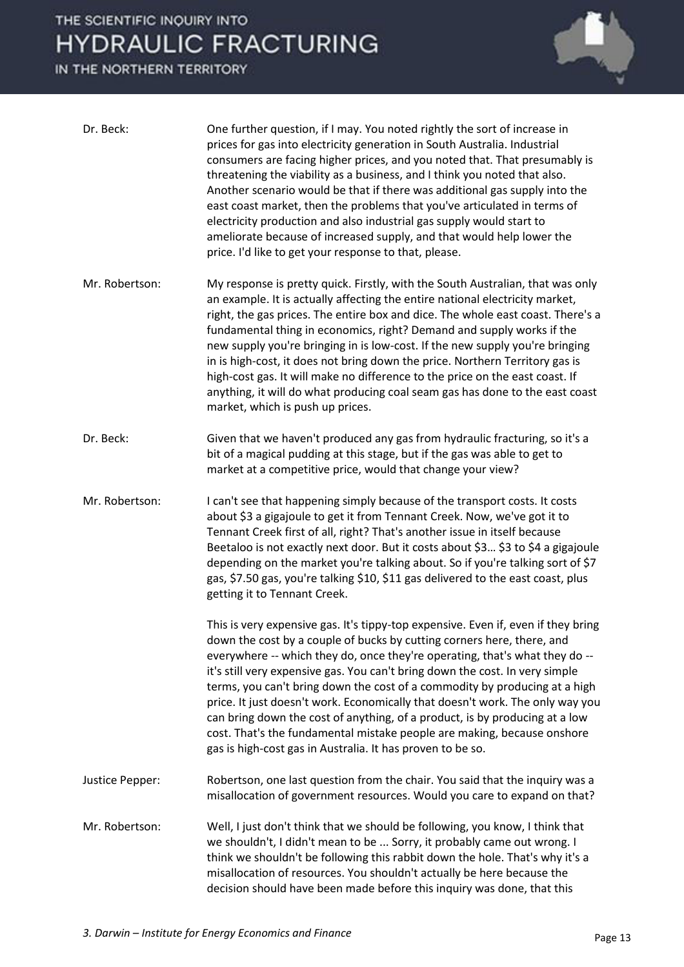### THE SCIENTIFIC INQUIRY INTO **HYDRAULIC FRACTURING**

IN THE NORTHERN TERRITORY



| Dr. Beck:       | One further question, if I may. You noted rightly the sort of increase in<br>prices for gas into electricity generation in South Australia. Industrial<br>consumers are facing higher prices, and you noted that. That presumably is<br>threatening the viability as a business, and I think you noted that also.<br>Another scenario would be that if there was additional gas supply into the<br>east coast market, then the problems that you've articulated in terms of<br>electricity production and also industrial gas supply would start to<br>ameliorate because of increased supply, and that would help lower the<br>price. I'd like to get your response to that, please.                             |
|-----------------|-------------------------------------------------------------------------------------------------------------------------------------------------------------------------------------------------------------------------------------------------------------------------------------------------------------------------------------------------------------------------------------------------------------------------------------------------------------------------------------------------------------------------------------------------------------------------------------------------------------------------------------------------------------------------------------------------------------------|
| Mr. Robertson:  | My response is pretty quick. Firstly, with the South Australian, that was only<br>an example. It is actually affecting the entire national electricity market,<br>right, the gas prices. The entire box and dice. The whole east coast. There's a<br>fundamental thing in economics, right? Demand and supply works if the<br>new supply you're bringing in is low-cost. If the new supply you're bringing<br>in is high-cost, it does not bring down the price. Northern Territory gas is<br>high-cost gas. It will make no difference to the price on the east coast. If<br>anything, it will do what producing coal seam gas has done to the east coast<br>market, which is push up prices.                    |
| Dr. Beck:       | Given that we haven't produced any gas from hydraulic fracturing, so it's a<br>bit of a magical pudding at this stage, but if the gas was able to get to<br>market at a competitive price, would that change your view?                                                                                                                                                                                                                                                                                                                                                                                                                                                                                           |
| Mr. Robertson:  | I can't see that happening simply because of the transport costs. It costs<br>about \$3 a gigajoule to get it from Tennant Creek. Now, we've got it to<br>Tennant Creek first of all, right? That's another issue in itself because<br>Beetaloo is not exactly next door. But it costs about \$3 \$3 to \$4 a gigajoule<br>depending on the market you're talking about. So if you're talking sort of \$7<br>gas, \$7.50 gas, you're talking \$10, \$11 gas delivered to the east coast, plus<br>getting it to Tennant Creek.                                                                                                                                                                                     |
|                 | This is very expensive gas. It's tippy-top expensive. Even if, even if they bring<br>down the cost by a couple of bucks by cutting corners here, there, and<br>everywhere -- which they do, once they're operating, that's what they do --<br>it's still very expensive gas. You can't bring down the cost. In very simple<br>terms, you can't bring down the cost of a commodity by producing at a high<br>price. It just doesn't work. Economically that doesn't work. The only way you<br>can bring down the cost of anything, of a product, is by producing at a low<br>cost. That's the fundamental mistake people are making, because onshore<br>gas is high-cost gas in Australia. It has proven to be so. |
| Justice Pepper: | Robertson, one last question from the chair. You said that the inquiry was a<br>misallocation of government resources. Would you care to expand on that?                                                                                                                                                                                                                                                                                                                                                                                                                                                                                                                                                          |
| Mr. Robertson:  | Well, I just don't think that we should be following, you know, I think that<br>we shouldn't, I didn't mean to be  Sorry, it probably came out wrong. I<br>think we shouldn't be following this rabbit down the hole. That's why it's a<br>misallocation of resources. You shouldn't actually be here because the<br>decision should have been made before this inquiry was done, that this                                                                                                                                                                                                                                                                                                                       |